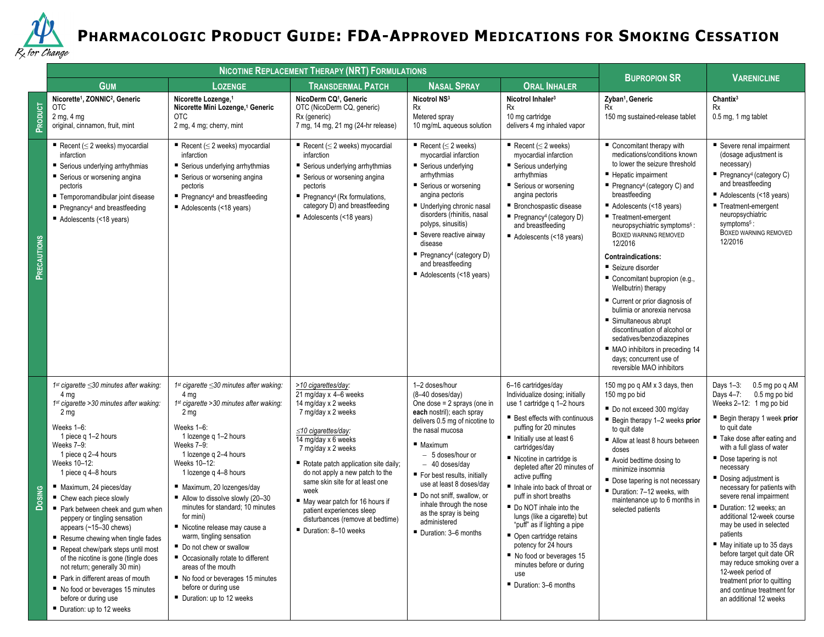

## **PHARMACOLOGIC PRODUCT GUIDE: FDA-APPROVED MEDICATIONS FOR SMOKING CESSATION**

|               |                                                                                                                                                                                                                                                                                                                                                                                                                                                                                                                                                                                                                                                                            | <b>NICOTINE REPLACEMENT THERAPY (NRT) FORMULATIONS</b>                                                                                                                                                                                                                                                                                                                                                                                                                                                                                                                                                                           |                                                                                                                                                                                                                                                                                                                                                                                                                      |                                                                                                                                                                                                                                                                                                                                                                                                 |                                                                                                                                                                                                                                                                                                                                                                                                                                                                                                                                                                                    |                                                                                                                                                                                                                                                                                                                                                                                                                                                                                                                                                                                                                                                                                  |                                                                                                                                                                                                                                                                                                                                                                                                                                                                                                                                                                                                                                |
|---------------|----------------------------------------------------------------------------------------------------------------------------------------------------------------------------------------------------------------------------------------------------------------------------------------------------------------------------------------------------------------------------------------------------------------------------------------------------------------------------------------------------------------------------------------------------------------------------------------------------------------------------------------------------------------------------|----------------------------------------------------------------------------------------------------------------------------------------------------------------------------------------------------------------------------------------------------------------------------------------------------------------------------------------------------------------------------------------------------------------------------------------------------------------------------------------------------------------------------------------------------------------------------------------------------------------------------------|----------------------------------------------------------------------------------------------------------------------------------------------------------------------------------------------------------------------------------------------------------------------------------------------------------------------------------------------------------------------------------------------------------------------|-------------------------------------------------------------------------------------------------------------------------------------------------------------------------------------------------------------------------------------------------------------------------------------------------------------------------------------------------------------------------------------------------|------------------------------------------------------------------------------------------------------------------------------------------------------------------------------------------------------------------------------------------------------------------------------------------------------------------------------------------------------------------------------------------------------------------------------------------------------------------------------------------------------------------------------------------------------------------------------------|----------------------------------------------------------------------------------------------------------------------------------------------------------------------------------------------------------------------------------------------------------------------------------------------------------------------------------------------------------------------------------------------------------------------------------------------------------------------------------------------------------------------------------------------------------------------------------------------------------------------------------------------------------------------------------|--------------------------------------------------------------------------------------------------------------------------------------------------------------------------------------------------------------------------------------------------------------------------------------------------------------------------------------------------------------------------------------------------------------------------------------------------------------------------------------------------------------------------------------------------------------------------------------------------------------------------------|
|               | <b>GUM</b>                                                                                                                                                                                                                                                                                                                                                                                                                                                                                                                                                                                                                                                                 | <b>LOZENGE</b>                                                                                                                                                                                                                                                                                                                                                                                                                                                                                                                                                                                                                   | <b>TRANSDERMAL PATCH</b>                                                                                                                                                                                                                                                                                                                                                                                             | <b>NASAL SPRAY</b>                                                                                                                                                                                                                                                                                                                                                                              | <b>ORAL INHALER</b>                                                                                                                                                                                                                                                                                                                                                                                                                                                                                                                                                                | <b>BUPROPION SR</b>                                                                                                                                                                                                                                                                                                                                                                                                                                                                                                                                                                                                                                                              | <b>VARENICLINE</b>                                                                                                                                                                                                                                                                                                                                                                                                                                                                                                                                                                                                             |
| PRODUCT       | Nicorette <sup>1</sup> , ZONNIC <sup>2</sup> , Generic<br><b>OTC</b><br>$2$ mg, $4$ mg<br>original, cinnamon, fruit, mint                                                                                                                                                                                                                                                                                                                                                                                                                                                                                                                                                  | Nicorette Lozenge, <sup>1</sup><br>Nicorette Mini Lozenge, <sup>1</sup> Generic<br><b>OTC</b><br>2 mg, 4 mg; cherry, mint                                                                                                                                                                                                                                                                                                                                                                                                                                                                                                        | NicoDerm CQ <sup>1</sup> , Generic<br>OTC (NicoDerm CQ, generic)<br>Rx (generic)<br>7 mg, 14 mg, 21 mg (24-hr release)                                                                                                                                                                                                                                                                                               | Nicotrol NS3<br><b>Rx</b><br>Metered spray<br>10 mg/mL aqueous solution                                                                                                                                                                                                                                                                                                                         | Nicotrol Inhaler <sup>3</sup><br>Rx<br>10 mg cartridge<br>delivers 4 mg inhaled vapor                                                                                                                                                                                                                                                                                                                                                                                                                                                                                              | Zyban <sup>1</sup> , Generic<br>Rx<br>150 mg sustained-release tablet                                                                                                                                                                                                                                                                                                                                                                                                                                                                                                                                                                                                            | Chantix <sup>3</sup><br><b>Rx</b><br>0.5 mg, 1 mg tablet                                                                                                                                                                                                                                                                                                                                                                                                                                                                                                                                                                       |
| PRECAUTIONS   | Recent ( $\leq$ 2 weeks) myocardial<br>infarction<br>■ Serious underlying arrhythmias<br>■ Serious or worsening angina<br>pectoris<br>■ Temporomandibular joint disease<br>$\blacksquare$ Pregnancy <sup>4</sup> and breastfeeding<br>Adolescents (<18 years)                                                                                                                                                                                                                                                                                                                                                                                                              | Recent ( $\leq$ 2 weeks) myocardial<br>infarction<br>■ Serious underlying arrhythmias<br>■ Serious or worsening angina<br>pectoris<br>$\blacksquare$ Pregnancy <sup>4</sup> and breastfeeding<br>Adolescents (<18 years)                                                                                                                                                                                                                                                                                                                                                                                                         | Recent ( $\leq$ 2 weeks) myocardial<br>infarction<br>■ Serious underlying arrhythmias<br>■ Serious or worsening angina<br>pectoris<br>Pregnancy <sup>4</sup> (Rx formulations,<br>category D) and breastfeeding<br>Adolescents (<18 years)                                                                                                                                                                           | Recent ( $\leq$ 2 weeks)<br>myocardial infarction<br>■ Serious underlying<br>arrhythmias<br>■ Serious or worsening<br>angina pectoris<br>Underlying chronic nasal<br>disorders (rhinitis, nasal<br>polyps, sinusitis)<br>■ Severe reactive airway<br>disease<br>Pregnancy <sup>4</sup> (category $D$ )<br>and breastfeeding<br>Adolescents (<18 years)                                          | Recent ( $\leq$ 2 weeks)<br>myocardial infarction<br>■ Serious underlying<br>arrhythmias<br>■ Serious or worsening<br>angina pectoris<br>■ Bronchospastic disease<br>Pregnancy <sup>4</sup> (category $D$ )<br>and breastfeeding<br>Adolescents (<18 years)                                                                                                                                                                                                                                                                                                                        | Concomitant therapy with<br>medications/conditions known<br>to lower the seizure threshold<br>■ Hepatic impairment<br>Pregnancy <sup>4</sup> (category C) and<br>breastfeeding<br>Adolescents (<18 years)<br>■ Treatment-emergent<br>neuropsychiatric symptoms <sup>5</sup> :<br>BOXED WARNING REMOVED<br>12/2016<br><b>Contraindications:</b><br>■ Seizure disorder<br>Concomitant bupropion (e.g.,<br>Wellbutrin) therapy<br>■ Current or prior diagnosis of<br>bulimia or anorexia nervosa<br>■ Simultaneous abrupt<br>discontinuation of alcohol or<br>sedatives/benzodiazepines<br>• MAO inhibitors in preceding 14<br>days; concurrent use of<br>reversible MAO inhibitors | ■ Severe renal impairment<br>(dosage adjustment is<br>necessary)<br>Pregnancy <sup>4</sup> (category C)<br>and breastfeeding<br>Adolescents (<18 years)<br>■ Treatment-emergent<br>neuropsychiatric<br>symptoms <sup>5</sup> :<br>BOXED WARNING REMOVED<br>12/2016                                                                                                                                                                                                                                                                                                                                                             |
| <b>Dosing</b> | $1st$ cigarette $\leq$ 30 minutes after waking:<br>4 mg<br>$1st$ cigarette > 30 minutes after waking:<br>2 <sub>mq</sub><br>Weeks 1-6:<br>1 piece g 1-2 hours<br>Weeks 7–9:<br>1 piece g 2–4 hours<br>Weeks 10-12:<br>1 piece q 4-8 hours<br>Maximum, 24 pieces/day<br>■ Chew each piece slowly<br>Park between cheek and gum when<br>peppery or tingling sensation<br>appears (~15-30 chews)<br>Resume chewing when tingle fades<br>Repeat chew/park steps until most<br>of the nicotine is gone (tingle does<br>not return; generally 30 min)<br>Park in different areas of mouth<br>No food or beverages 15 minutes<br>before or during use<br>Duration: up to 12 weeks | 1 <sup>st</sup> cigarette $\leq$ 30 minutes after waking:<br>4 mg<br>1 <sup>st</sup> cigarette > 30 minutes after waking:<br>2 <sub>mq</sub><br>Weeks 1-6:<br>1 lozenge g 1-2 hours<br>Weeks 7-9:<br>1 lozenge q 2-4 hours<br>Weeks 10-12:<br>1 lozenge q 4-8 hours<br>Maximum, 20 lozenges/day<br>Allow to dissolve slowly (20-30<br>minutes for standard: 10 minutes<br>for mini)<br>Nicotine release may cause a<br>warm, tingling sensation<br>Do not chew or swallow<br>■ Occasionally rotate to different<br>areas of the mouth<br>■ No food or beverages 15 minutes<br>before or during use<br>■ Duration: up to 12 weeks | >10 cigarettes/day:<br>21 mg/day x 4-6 weeks<br>14 mg/day x 2 weeks<br>7 mg/day x 2 weeks<br>$\leq$ 10 cigarettes/day:<br>14 mg/day x 6 weeks<br>7 mg/day x 2 weeks<br>Rotate patch application site daily;<br>do not apply a new patch to the<br>same skin site for at least one<br>week<br>May wear patch for 16 hours if<br>patient experiences sleep<br>disturbances (remove at bedtime)<br>Duration: 8-10 weeks | 1-2 doses/hour<br>$(8-40$ doses/day)<br>One dose = $2$ sprays (one in<br>each nostril); each spray<br>delivers 0.5 mg of nicotine to<br>the nasal mucosa<br>Maximum<br>- 5 doses/hour or<br>$-40$ doses/day<br>For best results, initially<br>use at least 8 doses/day<br>Do not sniff, swallow, or<br>inhale through the nose<br>as the spray is being<br>administered<br>Duration: 3-6 months | 6-16 cartridges/day<br>Individualize dosing; initially<br>use 1 cartridge q 1-2 hours<br><b>Best effects with continuous</b><br>puffing for 20 minutes<br>Initially use at least 6<br>cartridges/day<br>■ Nicotine in cartridge is<br>depleted after 20 minutes of<br>active puffing<br>Inhale into back of throat or<br>puff in short breaths<br>Do NOT inhale into the<br>lungs (like a cigarette) but<br>"puff" as if lighting a pipe<br>• Open cartridge retains<br>potency for 24 hours<br>No food or beverages 15<br>minutes before or during<br>use<br>Duration: 3-6 months | 150 mg po q AM x 3 days, then<br>150 mg po bid<br>■ Do not exceed 300 mg/day<br>Begin therapy 1-2 weeks prior<br>to quit date<br>Allow at least 8 hours between<br>doses<br>■ Avoid bedtime dosing to<br>minimize insomnia<br>■ Dose tapering is not necessary<br>Duration: 7-12 weeks, with<br>maintenance up to 6 months in<br>selected patients                                                                                                                                                                                                                                                                                                                               | Days 1-3:<br>0.5 mg po q AM<br>Days 4-7:<br>0.5 mg po bid<br>Weeks 2-12: 1 mg po bid<br>■ Begin therapy 1 week prior<br>to quit date<br>■ Take dose after eating and<br>with a full glass of water<br>Dose tapering is not<br>necessary<br>Dosing adjustment is<br>necessary for patients with<br>severe renal impairment<br>Duration: 12 weeks: an<br>additional 12-week course<br>may be used in selected<br>patients<br>■ May initiate up to 35 days<br>before target quit date OR<br>may reduce smoking over a<br>12-week period of<br>treatment prior to quitting<br>and continue treatment for<br>an additional 12 weeks |